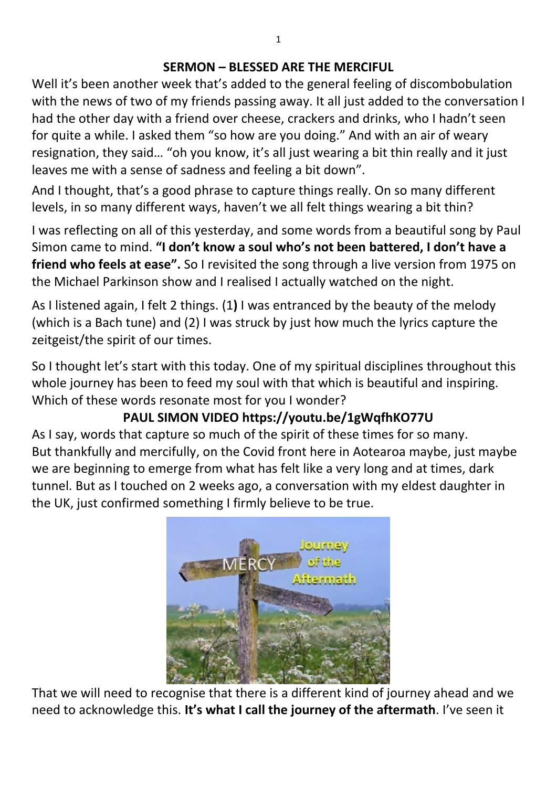#### **SERMON – BLESSED ARE THE MERCIFUL**

Well it's been another week that's added to the general feeling of discombobulation with the news of two of my friends passing away. It all just added to the conversation I had the other day with a friend over cheese, crackers and drinks, who I hadn't seen for quite a while. I asked them "so how are you doing." And with an air of weary resignation, they said… "oh you know, it's all just wearing a bit thin really and it just leaves me with a sense of sadness and feeling a bit down".

And I thought, that's a good phrase to capture things really. On so many different levels, in so many different ways, haven't we all felt things wearing a bit thin?

I was reflecting on all of this yesterday, and some words from a beautiful song by Paul Simon came to mind. **"I don't know a soul who's not been battered, I don't have a friend who feels at ease".** So I revisited the song through a live version from 1975 on the Michael Parkinson show and I realised I actually watched on the night.

As I listened again, I felt 2 things. (1**)** I was entranced by the beauty of the melody (which is a Bach tune) and (2) I was struck by just how much the lyrics capture the zeitgeist/the spirit of our times.

So I thought let's start with this today. One of my spiritual disciplines throughout this whole journey has been to feed my soul with that which is beautiful and inspiring. Which of these words resonate most for you I wonder?

# **PAUL SIMON VIDEO https://youtu.be/1gWqfhKO77U**

As I say, words that capture so much of the spirit of these times for so many. But thankfully and mercifully, on the Covid front here in Aotearoa maybe, just maybe we are beginning to emerge from what has felt like a very long and at times, dark tunnel. But as I touched on 2 weeks ago, a conversation with my eldest daughter in the UK, just confirmed something I firmly believe to be true.



That we will need to recognise that there is a different kind of journey ahead and we need to acknowledge this. **It's what I call the journey of the aftermath**. I've seen it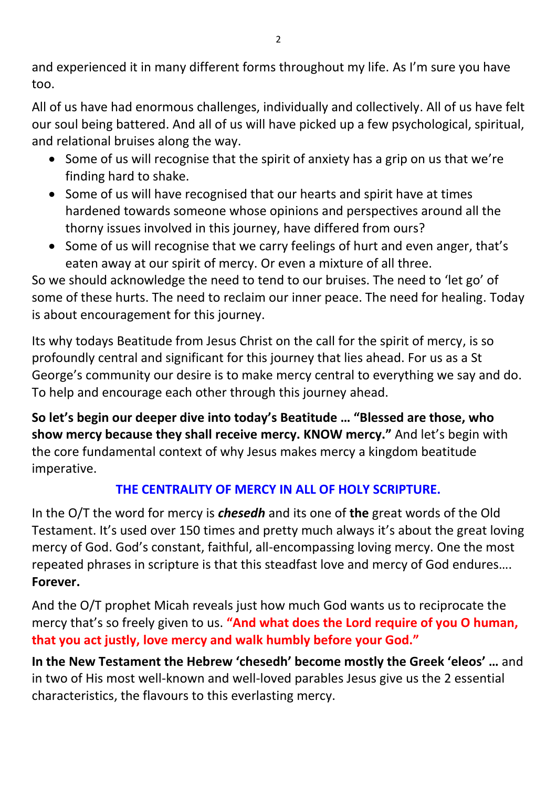and experienced it in many different forms throughout my life. As I'm sure you have too.

All of us have had enormous challenges, individually and collectively. All of us have felt our soul being battered. And all of us will have picked up a few psychological, spiritual, and relational bruises along the way.

- Some of us will recognise that the spirit of anxiety has a grip on us that we're finding hard to shake.
- Some of us will have recognised that our hearts and spirit have at times hardened towards someone whose opinions and perspectives around all the thorny issues involved in this journey, have differed from ours?
- Some of us will recognise that we carry feelings of hurt and even anger, that's eaten away at our spirit of mercy. Or even a mixture of all three.

So we should acknowledge the need to tend to our bruises. The need to 'let go' of some of these hurts. The need to reclaim our inner peace. The need for healing. Today is about encouragement for this journey.

Its why todays Beatitude from Jesus Christ on the call for the spirit of mercy, is so profoundly central and significant for this journey that lies ahead. For us as a St George's community our desire is to make mercy central to everything we say and do. To help and encourage each other through this journey ahead.

**So let's begin our deeper dive into today's Beatitude … "Blessed are those, who show mercy because they shall receive mercy. KNOW mercy."** And let's begin with the core fundamental context of why Jesus makes mercy a kingdom beatitude imperative.

## **THE CENTRALITY OF MERCY IN ALL OF HOLY SCRIPTURE.**

In the O/T the word for mercy is *chesedh* and its one of **the** great words of the Old Testament. It's used over 150 times and pretty much always it's about the great loving mercy of God. God's constant, faithful, all-encompassing loving mercy. One the most repeated phrases in scripture is that this steadfast love and mercy of God endures…. **Forever.** 

And the O/T prophet Micah reveals just how much God wants us to reciprocate the mercy that's so freely given to us. **"And what does the Lord require of you O human, that you act justly, love mercy and walk humbly before your God."**

**In the New Testament the Hebrew 'chesedh' become mostly the Greek 'eleos' …** and in two of His most well-known and well-loved parables Jesus give us the 2 essential characteristics, the flavours to this everlasting mercy.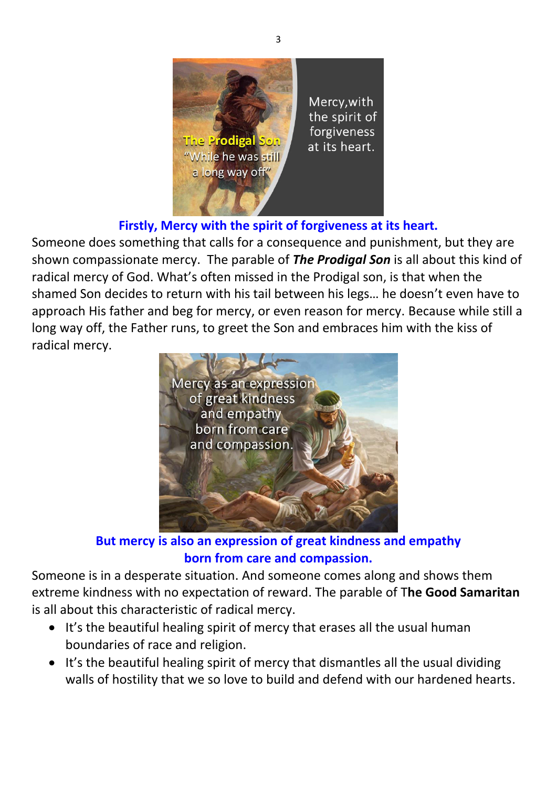

**Firstly, Mercy with the spirit of forgiveness at its heart.** 

Someone does something that calls for a consequence and punishment, but they are shown compassionate mercy. The parable of *The Prodigal Son* is all about this kind of radical mercy of God. What's often missed in the Prodigal son, is that when the shamed Son decides to return with his tail between his legs… he doesn't even have to approach His father and beg for mercy, or even reason for mercy. Because while still a long way off, the Father runs, to greet the Son and embraces him with the kiss of radical mercy.



**But mercy is also an expression of great kindness and empathy born from care and compassion.** 

Someone is in a desperate situation. And someone comes along and shows them extreme kindness with no expectation of reward. The parable of T**he Good Samaritan** is all about this characteristic of radical mercy.

- It's the beautiful healing spirit of mercy that erases all the usual human boundaries of race and religion.
- It's the beautiful healing spirit of mercy that dismantles all the usual dividing walls of hostility that we so love to build and defend with our hardened hearts.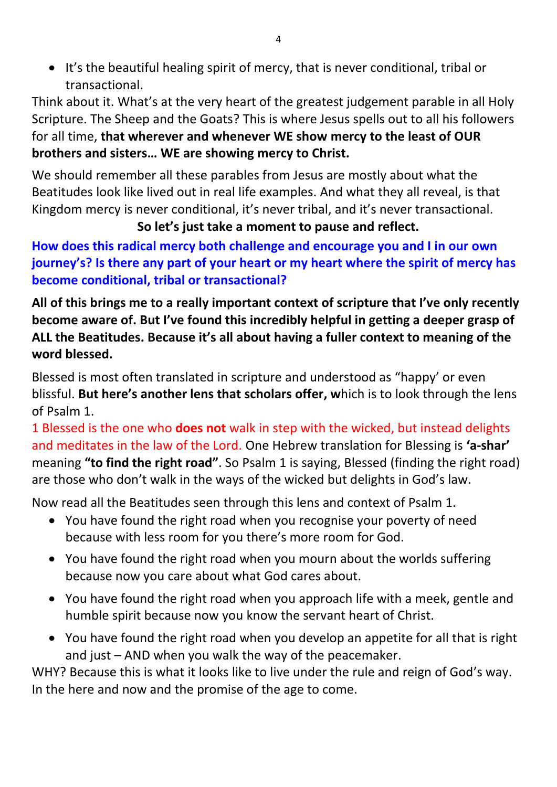• It's the beautiful healing spirit of mercy, that is never conditional, tribal or transactional.

Think about it. What's at the very heart of the greatest judgement parable in all Holy Scripture. The Sheep and the Goats? This is where Jesus spells out to all his followers for all time, **that wherever and whenever WE show mercy to the least of OUR brothers and sisters… WE are showing mercy to Christ.**

We should remember all these parables from Jesus are mostly about what the Beatitudes look like lived out in real life examples. And what they all reveal, is that Kingdom mercy is never conditional, it's never tribal, and it's never transactional.

### **So let's just take a moment to pause and reflect.**

**How does this radical mercy both challenge and encourage you and I in our own journey's? Is there any part of your heart or my heart where the spirit of mercy has become conditional, tribal or transactional?** 

**All of this brings me to a really important context of scripture that I've only recently become aware of. But I've found this incredibly helpful in getting a deeper grasp of ALL the Beatitudes. Because it's all about having a fuller context to meaning of the word blessed.** 

Blessed is most often translated in scripture and understood as "happy' or even blissful. **But here's another lens that scholars offer, w**hich is to look through the lens of Psalm 1.

1 Blessed is the one who **does not** walk in step with the wicked, but instead delights and meditates in the law of the Lord. One Hebrew translation for Blessing is **'a-shar'** meaning **"to find the right road"**. So Psalm 1 is saying, Blessed (finding the right road) are those who don't walk in the ways of the wicked but delights in God's law.

Now read all the Beatitudes seen through this lens and context of Psalm 1.

- You have found the right road when you recognise your poverty of need because with less room for you there's more room for God.
- You have found the right road when you mourn about the worlds suffering because now you care about what God cares about.
- You have found the right road when you approach life with a meek, gentle and humble spirit because now you know the servant heart of Christ.
- You have found the right road when you develop an appetite for all that is right and just – AND when you walk the way of the peacemaker.

WHY? Because this is what it looks like to live under the rule and reign of God's way. In the here and now and the promise of the age to come.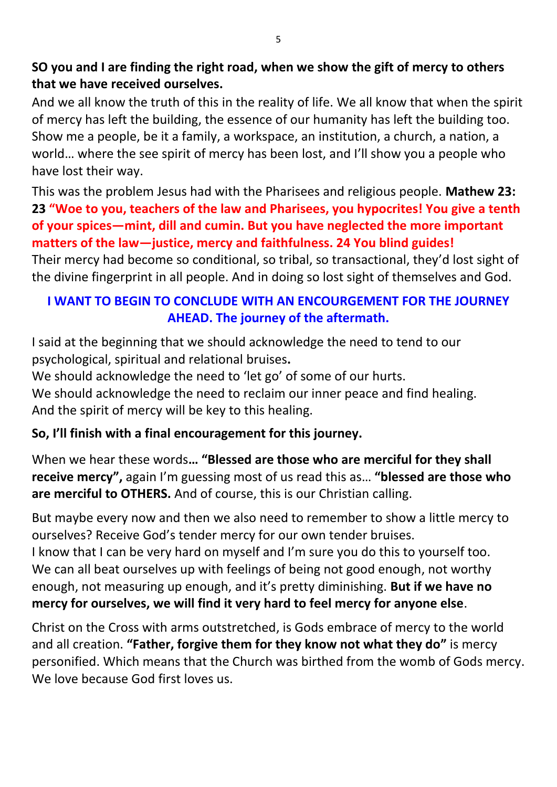### **SO you and I are finding the right road, when we show the gift of mercy to others that we have received ourselves.**

And we all know the truth of this in the reality of life. We all know that when the spirit of mercy has left the building, the essence of our humanity has left the building too. Show me a people, be it a family, a workspace, an institution, a church, a nation, a world… where the see spirit of mercy has been lost, and I'll show you a people who have lost their way.

This was the problem Jesus had with the Pharisees and religious people. **Mathew 23: 23 "Woe to you, teachers of the law and Pharisees, you hypocrites! You give a tenth of your spices—mint, dill and cumin. But you have neglected the more important matters of the law—justice, mercy and faithfulness. 24 You blind guides!** 

Their mercy had become so conditional, so tribal, so transactional, they'd lost sight of the divine fingerprint in all people. And in doing so lost sight of themselves and God.

### **I WANT TO BEGIN TO CONCLUDE WITH AN ENCOURGEMENT FOR THE JOURNEY AHEAD. The journey of the aftermath.**

I said at the beginning that we should acknowledge the need to tend to our psychological, spiritual and relational bruises**.** 

We should acknowledge the need to 'let go' of some of our hurts.

We should acknowledge the need to reclaim our inner peace and find healing. And the spirit of mercy will be key to this healing.

#### **So, I'll finish with a final encouragement for this journey.**

When we hear these words**… "Blessed are those who are merciful for they shall receive mercy",** again I'm guessing most of us read this as… **"blessed are those who are merciful to OTHERS.** And of course, this is our Christian calling.

But maybe every now and then we also need to remember to show a little mercy to ourselves? Receive God's tender mercy for our own tender bruises.

I know that I can be very hard on myself and I'm sure you do this to yourself too. We can all beat ourselves up with feelings of being not good enough, not worthy enough, not measuring up enough, and it's pretty diminishing. **But if we have no mercy for ourselves, we will find it very hard to feel mercy for anyone else**.

Christ on the Cross with arms outstretched, is Gods embrace of mercy to the world and all creation. **"Father, forgive them for they know not what they do"** is mercy personified. Which means that the Church was birthed from the womb of Gods mercy. We love because God first loves us.